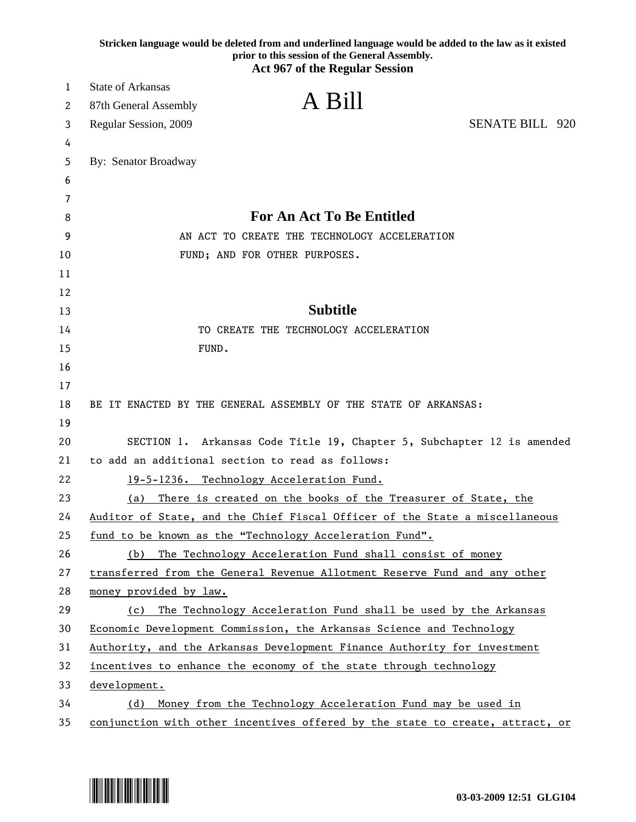|    | Stricken language would be deleted from and underlined language would be added to the law as it existed<br>prior to this session of the General Assembly.<br><b>Act 967 of the Regular Session</b> |
|----|----------------------------------------------------------------------------------------------------------------------------------------------------------------------------------------------------|
| 1  | <b>State of Arkansas</b>                                                                                                                                                                           |
| 2  | A Bill<br>87th General Assembly                                                                                                                                                                    |
| 3  | <b>SENATE BILL 920</b><br>Regular Session, 2009                                                                                                                                                    |
| 4  |                                                                                                                                                                                                    |
| 5  | By: Senator Broadway                                                                                                                                                                               |
| 6  |                                                                                                                                                                                                    |
| 7  |                                                                                                                                                                                                    |
| 8  | <b>For An Act To Be Entitled</b>                                                                                                                                                                   |
| 9  | AN ACT TO CREATE THE TECHNOLOGY ACCELERATION                                                                                                                                                       |
| 10 | FUND; AND FOR OTHER PURPOSES.                                                                                                                                                                      |
| 11 |                                                                                                                                                                                                    |
| 12 |                                                                                                                                                                                                    |
| 13 | <b>Subtitle</b>                                                                                                                                                                                    |
| 14 | TO CREATE THE TECHNOLOGY ACCELERATION                                                                                                                                                              |
| 15 | FUND.                                                                                                                                                                                              |
| 16 |                                                                                                                                                                                                    |
| 17 |                                                                                                                                                                                                    |
| 18 | BE IT ENACTED BY THE GENERAL ASSEMBLY OF THE STATE OF ARKANSAS:                                                                                                                                    |
| 19 |                                                                                                                                                                                                    |
| 20 | SECTION 1. Arkansas Code Title 19, Chapter 5, Subchapter 12 is amended                                                                                                                             |
| 21 | to add an additional section to read as follows:                                                                                                                                                   |
| 22 | 19-5-1236. Technology Acceleration Fund.                                                                                                                                                           |
| 23 | There is created on the books of the Treasurer of State, the<br>(a)                                                                                                                                |
| 24 | Auditor of State, and the Chief Fiscal Officer of the State a miscellaneous                                                                                                                        |
| 25 | fund to be known as the "Technology Acceleration Fund".                                                                                                                                            |
| 26 | The Technology Acceleration Fund shall consist of money<br>(b)                                                                                                                                     |
| 27 | transferred from the General Revenue Allotment Reserve Fund and any other                                                                                                                          |
| 28 | money provided by law.                                                                                                                                                                             |
| 29 | The Technology Acceleration Fund shall be used by the Arkansas<br>(c)                                                                                                                              |
| 30 | Economic Development Commission, the Arkansas Science and Technology                                                                                                                               |
| 31 | Authority, and the Arkansas Development Finance Authority for investment                                                                                                                           |
| 32 | incentives to enhance the economy of the state through technology                                                                                                                                  |
| 33 | development.                                                                                                                                                                                       |
| 34 | Money from the Technology Acceleration Fund may be used in<br>(d)                                                                                                                                  |
| 35 | conjunction with other incentives offered by the state to create, attract, or                                                                                                                      |